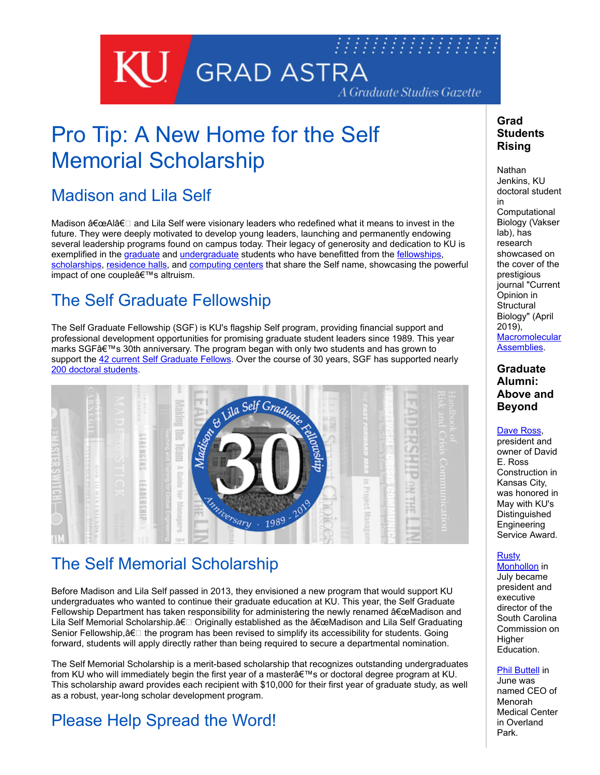

# Pro Tip: A New Home for the Self Memorial Scholarship

### Madison and Lila Self

Madison "Alâ€□ and Lila Self were visionary leaders who redefined what it means to invest in the future. They were deeply motivated to develop young leaders, launching and permanently endowing several leadership programs found on campus today. Their legacy of generosity and dedication to KU is exemplified in the [graduate](http://selfgraduate.ku.edu/about-self-fellowship) and [undergraduate](https://engr.ku.edu/self) students who have benefitted from the [fellowships,](http://selfgraduate.ku.edu/about-self-fellowship) [scholarships,](http://selfgraduate.ku.edu/madison-and-lila-self-memorial-scholarship-0) [residence halls](https://housing.ku.edu/residence-halls/self), and [computing centers](https://engr.ku.edu/facilities-maps) that share the Self name, showcasing the powerful impact of one couple's altruism.

## The Self Graduate Fellowship

The Self Graduate Fellowship (SGF) is KU's flagship Self program, providing financial support and professional development opportunities for promising graduate student leaders since 1989. This year marks SGF's 30th anniversary. The program began with only two students and has grown to support the [42 current Self Graduate Fellows](http://selfgraduate.ku.edu/current-self-fellows). Over the course of 30 years, SGF has supported nearly [200 doctoral students](http://selfgraduate.ku.edu/society-self-fellows).



### The Self Memorial Scholarship

Before Madison and Lila Self passed in 2013, they envisioned a new program that would support KU undergraduates who wanted to continue their graduate education at KU. This year, the Self Graduate Fellowship Department has taken responsibility for administering the newly renamed  $\hat{a} \in \text{ceM}$ adison and Lila Self Memorial Scholarship.â€□ Originally established as the "Madison and Lila Self Graduating Senior Fellowship, $\hat{a}\in\Box$  the program has been revised to simplify its accessibility for students. Going forward, students will apply directly rather than being required to secure a departmental nomination.

The Self Memorial Scholarship is a merit-based scholarship that recognizes outstanding undergraduates from KU who will immediately begin the first year of a master a€™s or doctoral degree program at KU. This scholarship award provides each recipient with \$10,000 for their first year of graduate study, as well as a robust, year-long scholar development program.

## Please Help Spread the Word!

### **Grad Students Rising**

**Nathan** Jenkins, KU doctoral student in **Computational** Biology (Vakser lab), has research showcased on the cover of the prestigious journal "Current Opinion in **Structural** Biology" (April 2019), **[Macromolecular](https://www.sciencedirect.com/journal/current-opinion-in-structural-biology/vol/55/suppl/C)** Assemblies.

#### **Graduate Alumni: Above and Beyond**

#### [Dave Ross,](https://engr.ku.edu/desa)

president and owner of David E. Ross Construction in Kansas City, was honored in May with KU's **Distinguished Engineering** Service Award.

#### Rusty

[Monhollon](https://www.che.sc.gov/CHE_Docs/executivedirector/mailouts/2019_05_31_CHE_Press_Release_NewPEDAnnouncement.pdf) in July became president and executive director of the South Carolina Commission on **Higher** Education.

#### [Phil Buttell](https://menorahmedicalcenter.com/about/newsroom/hca-midwest-health-names-phil-buttell-as-menorah-medical-center-chief-executive-officer) in

June was named CEO of Menorah Medical Center in Overland Park.